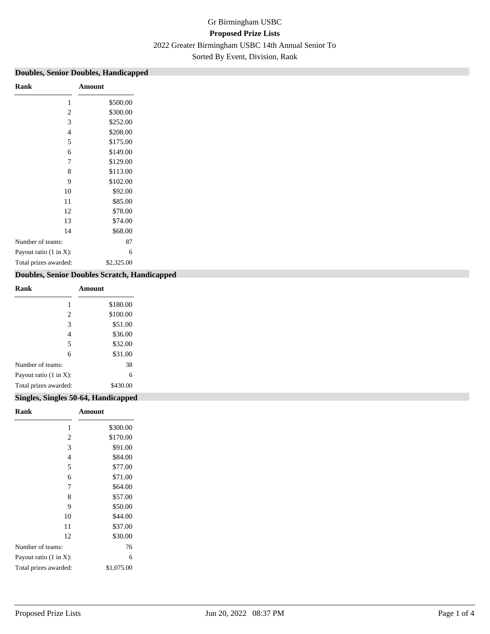# Gr Birmingham USBC **Proposed Prize Lists** 2022 Greater Birmingham USBC 14th Annual Senior To Sorted By Event, Division, Rank

### **Doubles, Senior Doubles, Handicapped**

| Rank                               | Amount     |
|------------------------------------|------------|
| 1                                  | \$500.00   |
| 2                                  | \$300.00   |
| 3                                  | \$252.00   |
| $\overline{4}$                     | \$208.00   |
| 5                                  | \$175.00   |
| 6                                  | \$149.00   |
| 7                                  | \$129.00   |
| 8                                  | \$113.00   |
| 9                                  | \$102.00   |
| 10                                 | \$92.00    |
| 11                                 | \$85.00    |
| 12                                 | \$78.00    |
| 13                                 | \$74.00    |
| 14                                 | \$68.00    |
| Number of teams:                   | 87         |
| Payout ratio $(1 \text{ in } X)$ : | 6          |
| Total prizes awarded:              | \$2,325.00 |
|                                    |            |

### **Doubles, Senior Doubles Scratch, Handicapped**

| Rank                               | Amount   |
|------------------------------------|----------|
| 1                                  | \$180.00 |
| 2                                  | \$100.00 |
| 3                                  | \$51.00  |
| 4                                  | \$36.00  |
| 5                                  | \$32.00  |
| 6                                  | \$31.00  |
| Number of teams:                   | 38       |
| Payout ratio $(1 \text{ in } X)$ : | 6        |
| Total prizes awarded:              | \$430.00 |

### **Singles, Singles 50-64, Handicapped**

| Rank                               | Amount     |
|------------------------------------|------------|
| 1                                  | \$300.00   |
| 2                                  | \$170.00   |
| 3                                  | \$91.00    |
| $\overline{4}$                     | \$84.00    |
| 5                                  | \$77.00    |
| 6                                  | \$71.00    |
| 7                                  | \$64.00    |
| 8                                  | \$57.00    |
| 9                                  | \$50.00    |
| 10                                 | \$44.00    |
| 11                                 | \$37.00    |
| 12                                 | \$30.00    |
| Number of teams:                   | 76         |
| Payout ratio $(1 \text{ in } X)$ : | 6          |
| Total prizes awarded:              | \$1,075.00 |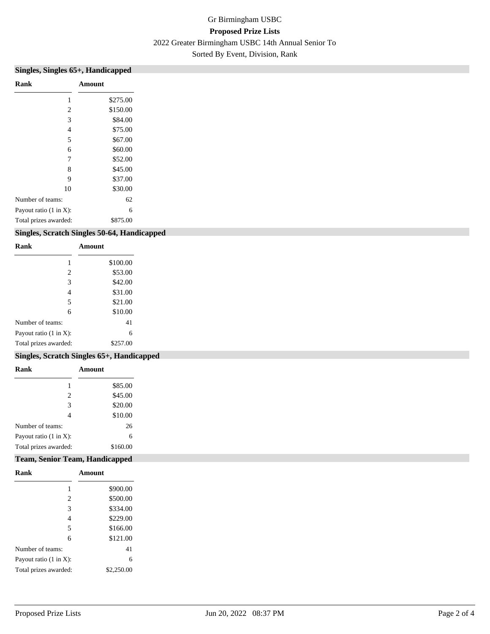# Gr Birmingham USBC **Proposed Prize Lists** 2022 Greater Birmingham USBC 14th Annual Senior To Sorted By Event, Division, Rank

| Rank<br>2<br>3<br>4<br>5           | Amount   |
|------------------------------------|----------|
|                                    |          |
|                                    | \$275.00 |
|                                    | \$150.00 |
|                                    | \$84.00  |
|                                    | \$75.00  |
|                                    | \$67.00  |
| 6                                  | \$60.00  |
| 7                                  | \$52.00  |
| 8                                  | \$45.00  |
| 9                                  | \$37.00  |
| 10                                 | \$30.00  |
| Number of teams:                   | 62       |
| Payout ratio $(1 \text{ in } X)$ : | 6        |
| Total prizes awarded:              | \$875.00 |

### **Singles, Scratch Singles 50-64, Handicapped**

| Rank                   | Amount   |
|------------------------|----------|
|                        | \$100.00 |
| $\overline{2}$         | \$53.00  |
| 3                      | \$42.00  |
| 4                      | \$31.00  |
| 5                      | \$21.00  |
| 6                      | \$10.00  |
| Number of teams:       | 41       |
| Payout ratio (1 in X): | 6        |
| Total prizes awarded:  | \$257.00 |

### **Singles, Scratch Singles 65+, Handicapped**

| Amount   |
|----------|
| \$85.00  |
| \$45.00  |
| \$20.00  |
| \$10.00  |
| 26       |
| 6        |
| \$160.00 |
|          |

### **Team, Senior Team, Handicapped**

| Rank                               | Amount     |
|------------------------------------|------------|
| 1                                  | \$900.00   |
| 2                                  | \$500.00   |
| 3                                  | \$334.00   |
| 4                                  | \$229.00   |
| 5                                  | \$166.00   |
| 6                                  | \$121.00   |
| Number of teams:                   | 41         |
| Payout ratio $(1 \text{ in } X)$ : | 6          |
| Total prizes awarded:              | \$2,250.00 |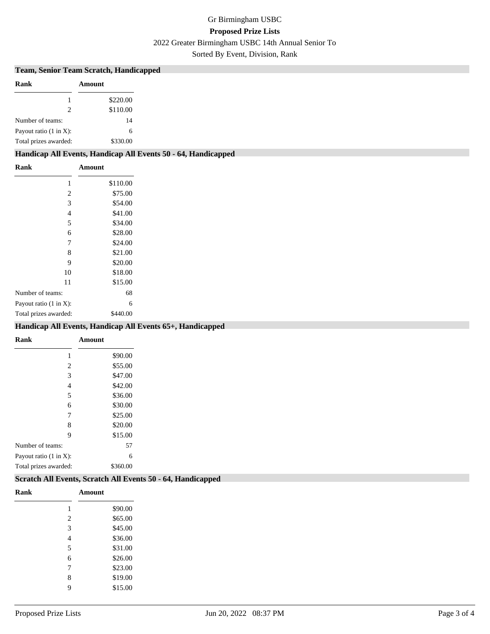## Gr Birmingham USBC **Proposed Prize Lists** 2022 Greater Birmingham USBC 14th Annual Senior To

Sorted By Event, Division, Rank

#### **Team, Senior Team Scratch, Handicapped**

| Rank                               | Amount   |
|------------------------------------|----------|
|                                    | \$220.00 |
| 2                                  | \$110.00 |
| Number of teams:                   | 14       |
| Payout ratio $(1 \text{ in } X)$ : | 6        |
| Total prizes awarded:              | \$330.00 |

### **Handicap All Events, Handicap All Events 50 - 64, Handicapped**

| Rank                               | Amount   |
|------------------------------------|----------|
| 1                                  | \$110.00 |
| $\overline{2}$                     | \$75.00  |
| 3                                  | \$54.00  |
| 4                                  | \$41.00  |
| 5                                  | \$34.00  |
| 6                                  | \$28.00  |
| 7                                  | \$24.00  |
| 8                                  | \$21.00  |
| 9                                  | \$20.00  |
| 10                                 | \$18.00  |
| 11                                 | \$15.00  |
| Number of teams:                   | 68       |
| Payout ratio $(1 \text{ in } X)$ : | 6        |
| Total prizes awarded:              | \$440.00 |

### **Handicap All Events, Handicap All Events 65+, Handicapped**

| Rank                               | Amount   |
|------------------------------------|----------|
|                                    | \$90.00  |
| 2                                  | \$55.00  |
| 3                                  | \$47.00  |
| 4                                  | \$42.00  |
| 5                                  | \$36.00  |
| 6                                  | \$30.00  |
| 7                                  | \$25.00  |
| 8                                  | \$20.00  |
| 9                                  | \$15.00  |
| Number of teams:                   | 57       |
| Payout ratio $(1 \text{ in } X)$ : | 6        |
| Total prizes awarded:              | \$360.00 |

#### **Scratch All Events, Scratch All Events 50 - 64, Handicapped**

| Rank |                | Amount  |
|------|----------------|---------|
|      | 1              | \$90.00 |
|      | $\overline{c}$ | \$65.00 |
|      | 3              | \$45.00 |
|      | 4              | \$36.00 |
|      | 5              | \$31.00 |
|      | 6              | \$26.00 |
|      | 7              | \$23.00 |
|      | 8              | \$19.00 |
|      | 9              | \$15.00 |